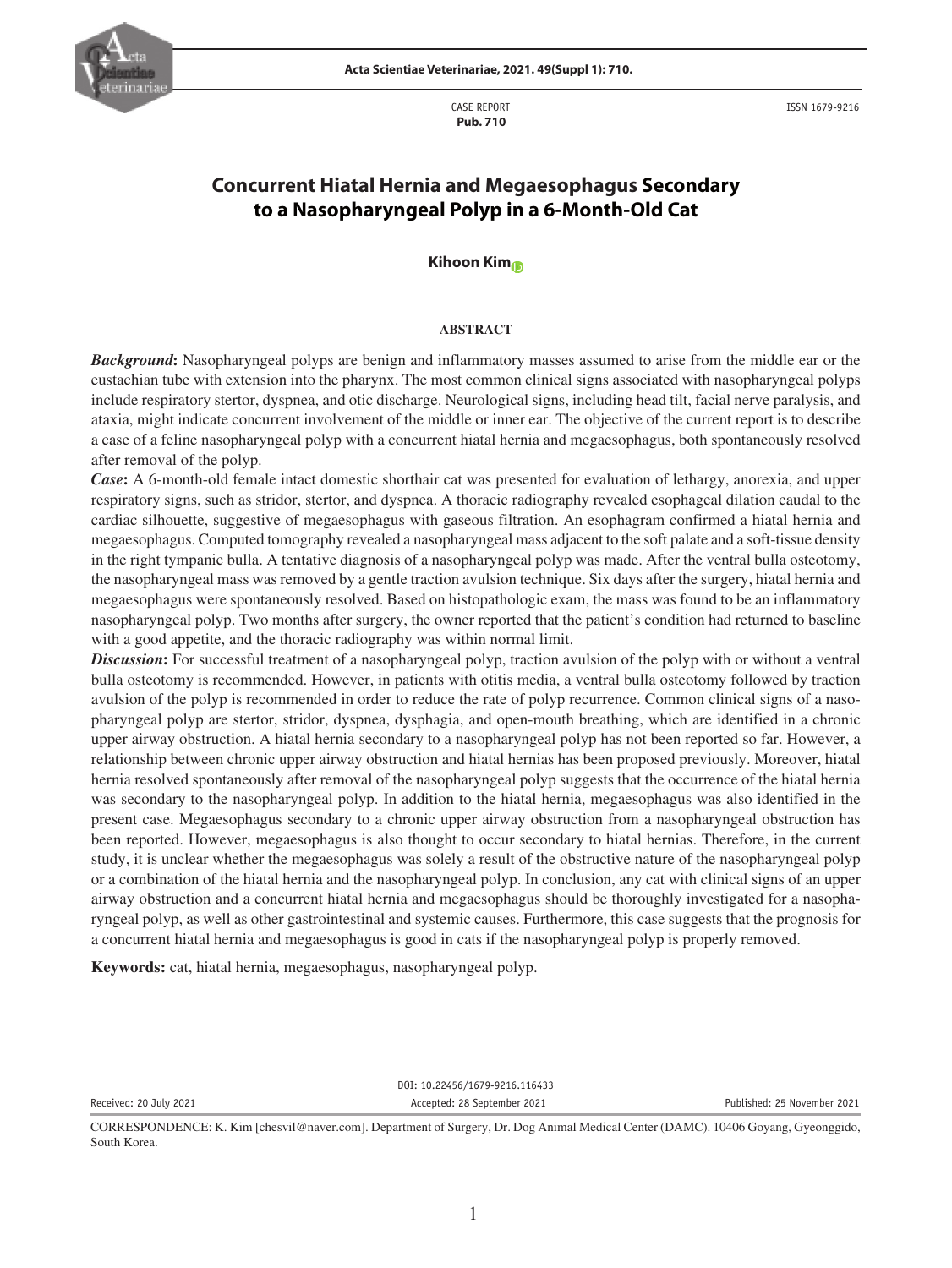

CASE REPORT  **Pub. 710**

ISSN 1679-9216

# **Concurrent Hiatal Hernia and Megaesophagus Secondary to a Nasopharyngeal Polyp in a 6-Month-Old Cat**

### **Kihoon Ki[m](https://orcid.org/0000-0003-2529-7878)**

#### **ABSTRACT**

*Background***:** Nasopharyngeal polyps are benign and inflammatory masses assumed to arise from the middle ear or the eustachian tube with extension into the pharynx. The most common clinical signs associated with nasopharyngeal polyps include respiratory stertor, dyspnea, and otic discharge. Neurological signs, including head tilt, facial nerve paralysis, and ataxia, might indicate concurrent involvement of the middle or inner ear. The objective of the current report is to describe a case of a feline nasopharyngeal polyp with a concurrent hiatal hernia and megaesophagus, both spontaneously resolved after removal of the polyp.

*Case***:** A 6-month-old female intact domestic shorthair cat was presented for evaluation of lethargy, anorexia, and upper respiratory signs, such as stridor, stertor, and dyspnea. A thoracic radiography revealed esophageal dilation caudal to the cardiac silhouette, suggestive of megaesophagus with gaseous filtration. An esophagram confirmed a hiatal hernia and megaesophagus. Computed tomography revealed a nasopharyngeal mass adjacent to the soft palate and a soft-tissue density in the right tympanic bulla. A tentative diagnosis of a nasopharyngeal polyp was made. After the ventral bulla osteotomy, the nasopharyngeal mass was removed by a gentle traction avulsion technique. Six days after the surgery, hiatal hernia and megaesophagus were spontaneously resolved. Based on histopathologic exam, the mass was found to be an inflammatory nasopharyngeal polyp. Two months after surgery, the owner reported that the patient's condition had returned to baseline with a good appetite, and the thoracic radiography was within normal limit.

*Discussion***:** For successful treatment of a nasopharyngeal polyp, traction avulsion of the polyp with or without a ventral bulla osteotomy is recommended. However, in patients with otitis media, a ventral bulla osteotomy followed by traction avulsion of the polyp is recommended in order to reduce the rate of polyp recurrence. Common clinical signs of a nasopharyngeal polyp are stertor, stridor, dyspnea, dysphagia, and open-mouth breathing, which are identified in a chronic upper airway obstruction. A hiatal hernia secondary to a nasopharyngeal polyp has not been reported so far. However, a relationship between chronic upper airway obstruction and hiatal hernias has been proposed previously. Moreover, hiatal hernia resolved spontaneously after removal of the nasopharyngeal polyp suggests that the occurrence of the hiatal hernia was secondary to the nasopharyngeal polyp. In addition to the hiatal hernia, megaesophagus was also identified in the present case. Megaesophagus secondary to a chronic upper airway obstruction from a nasopharyngeal obstruction has been reported. However, megaesophagus is also thought to occur secondary to hiatal hernias. Therefore, in the current study, it is unclear whether the megaesophagus was solely a result of the obstructive nature of the nasopharyngeal polyp or a combination of the hiatal hernia and the nasopharyngeal polyp. In conclusion, any cat with clinical signs of an upper airway obstruction and a concurrent hiatal hernia and megaesophagus should be thoroughly investigated for a nasopharyngeal polyp, as well as other gastrointestinal and systemic causes. Furthermore, this case suggests that the prognosis for a concurrent hiatal hernia and megaesophagus is good in cats if the nasopharyngeal polyp is properly removed.

**Keywords:** cat, hiatal hernia, megaesophagus, nasopharyngeal polyp.

DOI: 10.22456/1679-9216.116433 Received: 20 July 2021 Accepted: 28 September 2021 Published: 25 November 2021

CORRESPONDENCE: K. Kim [chesvil@naver.com]. Department of Surgery, Dr. Dog Animal Medical Center (DAMC). 10406 Goyang, Gyeonggido, South Korea.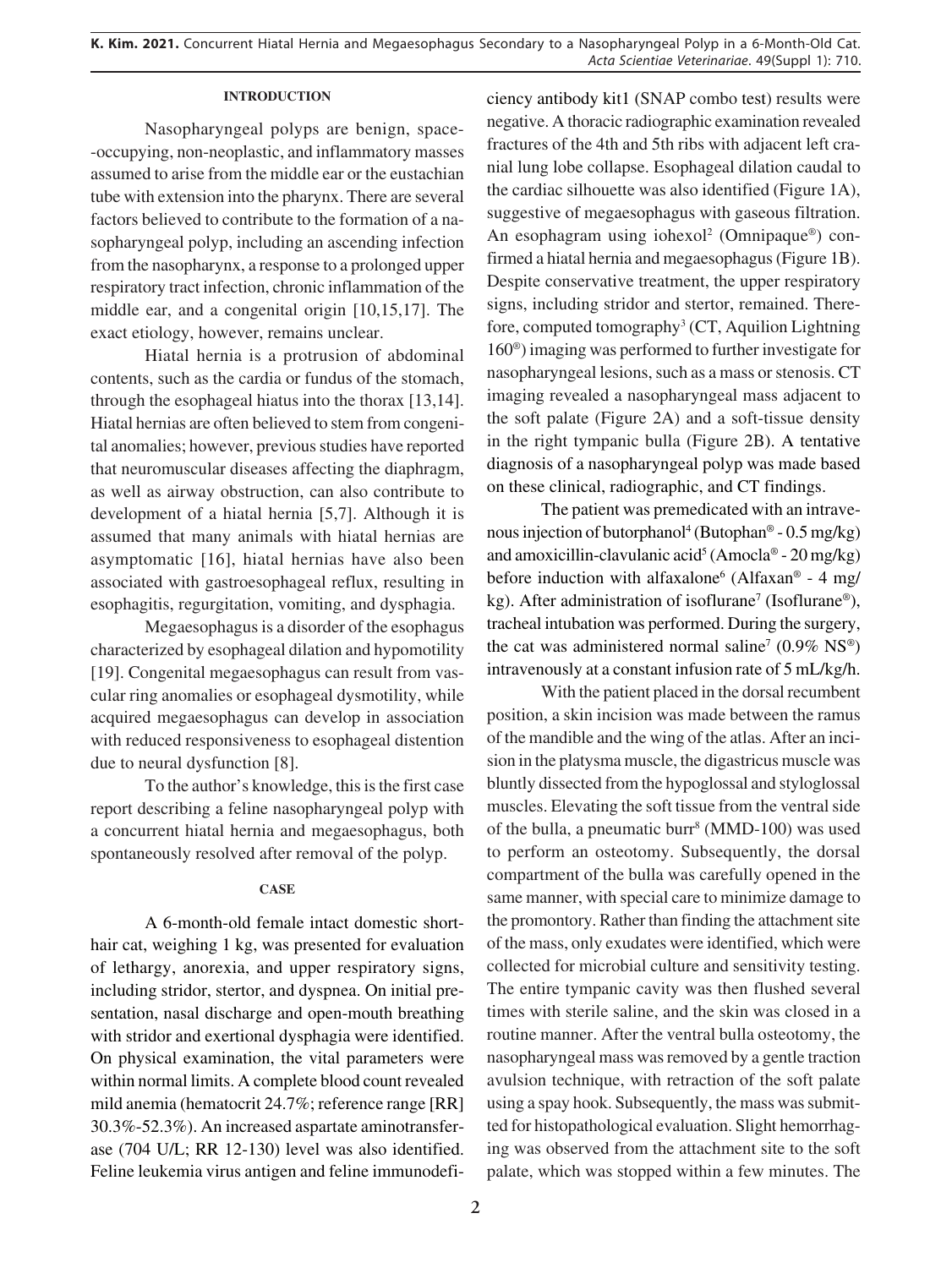## **INTRODUCTION**

Nasopharyngeal polyps are benign, space- -occupying, non-neoplastic, and inflammatory masses assumed to arise from the middle ear or the eustachian tube with extension into the pharynx. There are several factors believed to contribute to the formation of a nasopharyngeal polyp, including an ascending infection from the nasopharynx, a response to a prolonged upper respiratory tract infection, chronic inflammation of the middle ear, and a congenital origin [10,15,17]. The exact etiology, however, remains unclear.

Hiatal hernia is a protrusion of abdominal contents, such as the cardia or fundus of the stomach, through the esophageal hiatus into the thorax [13,14]. Hiatal hernias are often believed to stem from congenital anomalies; however, previous studies have reported that neuromuscular diseases affecting the diaphragm, as well as airway obstruction, can also contribute to development of a hiatal hernia [5,7]. Although it is assumed that many animals with hiatal hernias are asymptomatic [16], hiatal hernias have also been associated with gastroesophageal reflux, resulting in esophagitis, regurgitation, vomiting, and dysphagia.

Megaesophagus is a disorder of the esophagus characterized by esophageal dilation and hypomotility [19]. Congenital megaesophagus can result from vascular ring anomalies or esophageal dysmotility, while acquired megaesophagus can develop in association with reduced responsiveness to esophageal distention due to neural dysfunction [8].

To the author's knowledge, this is the first case report describing a feline nasopharyngeal polyp with a concurrent hiatal hernia and megaesophagus, both spontaneously resolved after removal of the polyp.

# **CASE**

A 6-month-old female intact domestic shorthair cat, weighing 1 kg, was presented for evaluation of lethargy, anorexia, and upper respiratory signs, including stridor, stertor, and dyspnea. On initial presentation, nasal discharge and open-mouth breathing with stridor and exertional dysphagia were identified. On physical examination, the vital parameters were within normal limits. A complete blood count revealed mild anemia (hematocrit 24.7%; reference range [RR] 30.3%-52.3%). An increased aspartate aminotransferase (704 U/L; RR 12-130) level was also identified. Feline leukemia virus antigen and feline immunodeficiency antibody kit1 (SNAP combo test) results were negative. A thoracic radiographic examination revealed fractures of the 4th and 5th ribs with adjacent left cranial lung lobe collapse. Esophageal dilation caudal to the cardiac silhouette was also identified (Figure 1A), suggestive of megaesophagus with gaseous filtration. An esophagram using iohexol<sup>2</sup> (Omnipaque®) confirmed a hiatal hernia and megaesophagus (Figure 1B). Despite conservative treatment, the upper respiratory signs, including stridor and stertor, remained. Therefore, computed tomography<sup>3</sup> (CT, Aquilion Lightning 160®) imaging was performed to further investigate for nasopharyngeal lesions, such as a mass or stenosis. CT imaging revealed a nasopharyngeal mass adjacent to the soft palate (Figure 2A) and a soft-tissue density in the right tympanic bulla (Figure 2B). A tentative diagnosis of a nasopharyngeal polyp was made based on these clinical, radiographic, and CT findings.

The patient was premedicated with an intravenous injection of butorphanol<sup>4</sup> (Butophan® -  $0.5 \text{ mg/kg}$ ) and amoxicillin-clavulanic acid<sup>5</sup> (Amocla® - 20 mg/kg) before induction with alfaxalone<sup>6</sup> (Alfaxan® - 4 mg/ kg). After administration of isoflurane<sup>7</sup> (Isoflurane®), tracheal intubation was performed. During the surgery, the cat was administered normal saline<sup>7</sup> (0.9%  $NS^{\circledast}$ ) intravenously at a constant infusion rate of 5 mL/kg/h.

With the patient placed in the dorsal recumbent position, a skin incision was made between the ramus of the mandible and the wing of the atlas. After an incision in the platysma muscle, the digastricus muscle was bluntly dissected from the hypoglossal and styloglossal muscles. Elevating the soft tissue from the ventral side of the bulla, a pneumatic burr<sup>8</sup> (MMD-100) was used to perform an osteotomy. Subsequently, the dorsal compartment of the bulla was carefully opened in the same manner, with special care to minimize damage to the promontory. Rather than finding the attachment site of the mass, only exudates were identified, which were collected for microbial culture and sensitivity testing. The entire tympanic cavity was then flushed several times with sterile saline, and the skin was closed in a routine manner. After the ventral bulla osteotomy, the nasopharyngeal mass was removed by a gentle traction avulsion technique, with retraction of the soft palate using a spay hook. Subsequently, the mass was submitted for histopathological evaluation. Slight hemorrhaging was observed from the attachment site to the soft palate, which was stopped within a few minutes. The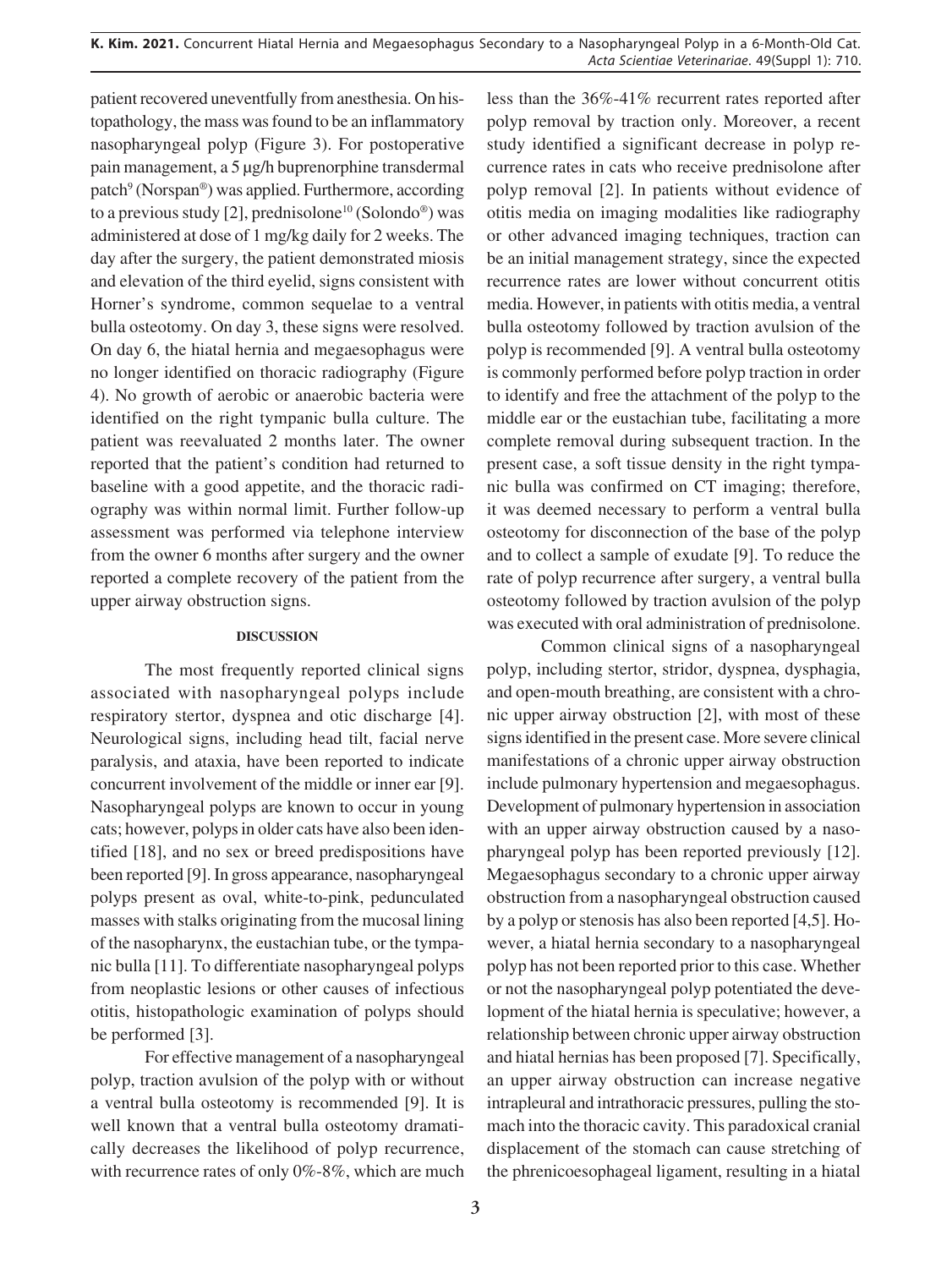patient recovered uneventfully from anesthesia. On histopathology, the mass was found to be an inflammatory nasopharyngeal polyp (Figure 3). For postoperative pain management, a 5 µg/h buprenorphine transdermal patch<sup>9</sup> (Norspan®) was applied. Furthermore, according to a previous study [2], prednisolone<sup>10</sup> (Solondo<sup>®</sup>) was administered at dose of 1 mg/kg daily for 2 weeks. The day after the surgery, the patient demonstrated miosis and elevation of the third eyelid, signs consistent with Horner's syndrome, common sequelae to a ventral bulla osteotomy. On day 3, these signs were resolved. On day 6, the hiatal hernia and megaesophagus were no longer identified on thoracic radiography (Figure 4). No growth of aerobic or anaerobic bacteria were identified on the right tympanic bulla culture. The patient was reevaluated 2 months later. The owner reported that the patient's condition had returned to baseline with a good appetite, and the thoracic radiography was within normal limit. Further follow-up assessment was performed via telephone interview from the owner 6 months after surgery and the owner reported a complete recovery of the patient from the upper airway obstruction signs.

# **DISCUSSION**

The most frequently reported clinical signs associated with nasopharyngeal polyps include respiratory stertor, dyspnea and otic discharge [4]. Neurological signs, including head tilt, facial nerve paralysis, and ataxia, have been reported to indicate concurrent involvement of the middle or inner ear [9]. Nasopharyngeal polyps are known to occur in young cats; however, polyps in older cats have also been identified [18], and no sex or breed predispositions have been reported [9]. In gross appearance, nasopharyngeal polyps present as oval, white-to-pink, pedunculated masses with stalks originating from the mucosal lining of the nasopharynx, the eustachian tube, or the tympanic bulla [11]. To differentiate nasopharyngeal polyps from neoplastic lesions or other causes of infectious otitis, histopathologic examination of polyps should be performed [3].

For effective management of a nasopharyngeal polyp, traction avulsion of the polyp with or without a ventral bulla osteotomy is recommended [9]. It is well known that a ventral bulla osteotomy dramatically decreases the likelihood of polyp recurrence, with recurrence rates of only 0%-8%, which are much less than the 36%-41% recurrent rates reported after polyp removal by traction only. Moreover, a recent study identified a significant decrease in polyp recurrence rates in cats who receive prednisolone after polyp removal [2]. In patients without evidence of otitis media on imaging modalities like radiography or other advanced imaging techniques, traction can be an initial management strategy, since the expected recurrence rates are lower without concurrent otitis media. However, in patients with otitis media, a ventral bulla osteotomy followed by traction avulsion of the polyp is recommended [9]. A ventral bulla osteotomy is commonly performed before polyp traction in order to identify and free the attachment of the polyp to the middle ear or the eustachian tube, facilitating a more complete removal during subsequent traction. In the present case, a soft tissue density in the right tympanic bulla was confirmed on CT imaging; therefore, it was deemed necessary to perform a ventral bulla osteotomy for disconnection of the base of the polyp and to collect a sample of exudate [9]. To reduce the rate of polyp recurrence after surgery, a ventral bulla osteotomy followed by traction avulsion of the polyp was executed with oral administration of prednisolone.

Common clinical signs of a nasopharyngeal polyp, including stertor, stridor, dyspnea, dysphagia, and open-mouth breathing, are consistent with a chronic upper airway obstruction [2], with most of these signs identified in the present case. More severe clinical manifestations of a chronic upper airway obstruction include pulmonary hypertension and megaesophagus. Development of pulmonary hypertension in association with an upper airway obstruction caused by a nasopharyngeal polyp has been reported previously [12]. Megaesophagus secondary to a chronic upper airway obstruction from a nasopharyngeal obstruction caused by a polyp or stenosis has also been reported [4,5]. However, a hiatal hernia secondary to a nasopharyngeal polyp has not been reported prior to this case. Whether or not the nasopharyngeal polyp potentiated the development of the hiatal hernia is speculative; however, a relationship between chronic upper airway obstruction and hiatal hernias has been proposed [7]. Specifically, an upper airway obstruction can increase negative intrapleural and intrathoracic pressures, pulling the stomach into the thoracic cavity. This paradoxical cranial displacement of the stomach can cause stretching of the phrenicoesophageal ligament, resulting in a hiatal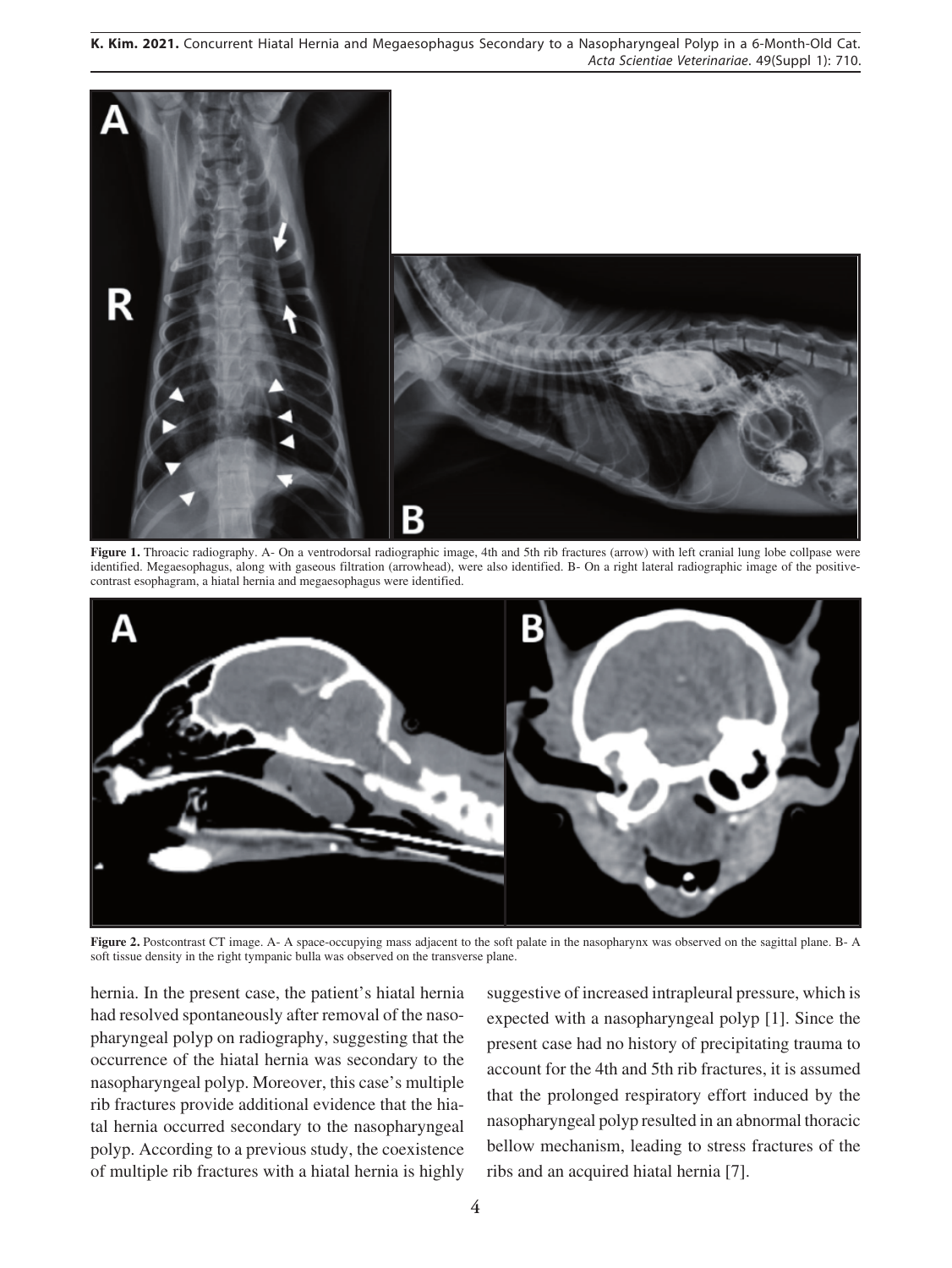**K. Kim. 2021.** Concurrent Hiatal Hernia and Megaesophagus Secondary to a Nasopharyngeal Polyp in a 6-Month-Old Cat. *Acta Scientiae Veterinariae*. 49(Suppl 1): 710.



**Figure 1.** Throacic radiography. A- On a ventrodorsal radiographic image, 4th and 5th rib fractures (arrow) with left cranial lung lobe collpase were identified. Megaesophagus, along with gaseous filtration (arrowhead), were also identified. B- On a right lateral radiographic image of the positivecontrast esophagram, a hiatal hernia and megaesophagus were identified.



**Figure 2.** Postcontrast CT image. A- A space-occupying mass adjacent to the soft palate in the nasopharynx was observed on the sagittal plane. B- A soft tissue density in the right tympanic bulla was observed on the transverse plane.

hernia. In the present case, the patient's hiatal hernia had resolved spontaneously after removal of the nasopharyngeal polyp on radiography, suggesting that the occurrence of the hiatal hernia was secondary to the nasopharyngeal polyp. Moreover, this case's multiple rib fractures provide additional evidence that the hiatal hernia occurred secondary to the nasopharyngeal polyp. According to a previous study, the coexistence of multiple rib fractures with a hiatal hernia is highly

suggestive of increased intrapleural pressure, which is expected with a nasopharyngeal polyp [1]. Since the present case had no history of precipitating trauma to account for the 4th and 5th rib fractures, it is assumed that the prolonged respiratory effort induced by the nasopharyngeal polyp resulted in an abnormal thoracic bellow mechanism, leading to stress fractures of the ribs and an acquired hiatal hernia [7].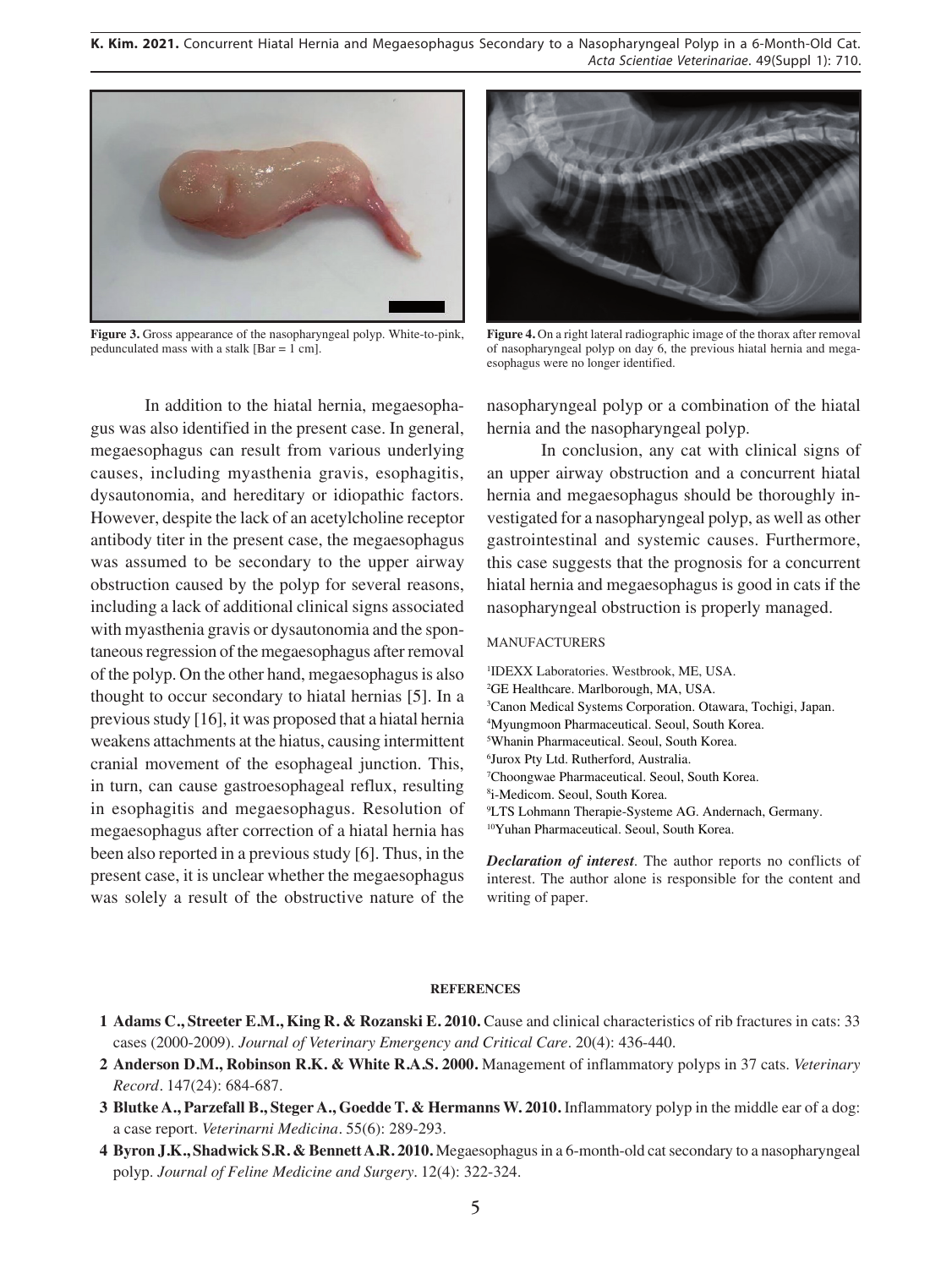**K. Kim. 2021.** Concurrent Hiatal Hernia and Megaesophagus Secondary to a Nasopharyngeal Polyp in a 6-Month-Old Cat. *Acta Scientiae Veterinariae*. 49(Suppl 1): 710.



**Figure 3.** Gross appearance of the nasopharyngeal polyp. White-to-pink, pedunculated mass with a stalk [Bar = 1 cm].



**Figure 4.** On a right lateral radiographic image of the thorax after removal of nasopharyngeal polyp on day 6, the previous hiatal hernia and megaesophagus were no longer identified.

In addition to the hiatal hernia, megaesophagus was also identified in the present case. In general, megaesophagus can result from various underlying causes, including myasthenia gravis, esophagitis, dysautonomia, and hereditary or idiopathic factors. However, despite the lack of an acetylcholine receptor antibody titer in the present case, the megaesophagus was assumed to be secondary to the upper airway obstruction caused by the polyp for several reasons, including a lack of additional clinical signs associated with myasthenia gravis or dysautonomia and the spontaneous regression of the megaesophagus after removal of the polyp. On the other hand, megaesophagus is also thought to occur secondary to hiatal hernias [5]. In a previous study [16], it was proposed that a hiatal hernia weakens attachments at the hiatus, causing intermittent cranial movement of the esophageal junction. This, in turn, can cause gastroesophageal reflux, resulting in esophagitis and megaesophagus. Resolution of megaesophagus after correction of a hiatal hernia has been also reported in a previous study [6]. Thus, in the present case, it is unclear whether the megaesophagus was solely a result of the obstructive nature of the

nasopharyngeal polyp or a combination of the hiatal hernia and the nasopharyngeal polyp.

In conclusion, any cat with clinical signs of an upper airway obstruction and a concurrent hiatal hernia and megaesophagus should be thoroughly investigated for a nasopharyngeal polyp, as well as other gastrointestinal and systemic causes. Furthermore, this case suggests that the prognosis for a concurrent hiatal hernia and megaesophagus is good in cats if the nasopharyngeal obstruction is properly managed.

#### MANUFACTURERS

writing of paper.

 IDEXX Laboratories. Westbrook, ME, USA. GE Healthcare. Marlborough, MA, USA. Canon Medical Systems Corporation. Otawara, Tochigi, Japan. Myungmoon Pharmaceutical. Seoul, South Korea. Whanin Pharmaceutical. Seoul, South Korea. Jurox Pty Ltd. Rutherford, Australia. Choongwae Pharmaceutical. Seoul, South Korea. i-Medicom. Seoul, South Korea. LTS Lohmann Therapie-Systeme AG. Andernach, Germany. 10Yuhan Pharmaceutical. Seoul, South Korea. *Declaration of interest*. The author reports no conflicts of interest. The author alone is responsible for the content and

#### **REFERENCES**

- **1 Adams C., Streeter E.M., King R. & Rozanski E. 2010.** Cause and clinical characteristics of rib fractures in cats: 33 cases (2000-2009). *Journal of Veterinary Emergency and Critical Care*. 20(4): 436-440.
- **2 Anderson D.M., Robinson R.K. & White R.A.S. 2000.** Management of inflammatory polyps in 37 cats. *Veterinary Record.* 147(24): 684-687.
- **3 Blutke A., Parzefall B., Steger A., Goedde T. & Hermanns W. 2010.** Inflammatory polyp in the middle ear of a dog: a case report. *Veterinarni Medicina.* 55(6): 289-293.
- **4 Byron J.K., Shadwick S.R. & Bennett A.R. 2010.** Megaesophagus in a 6-month-old cat secondary to a nasopharyngeal polyp. *Journal of Feline Medicine and Surgery.* 12(4): 322-324.